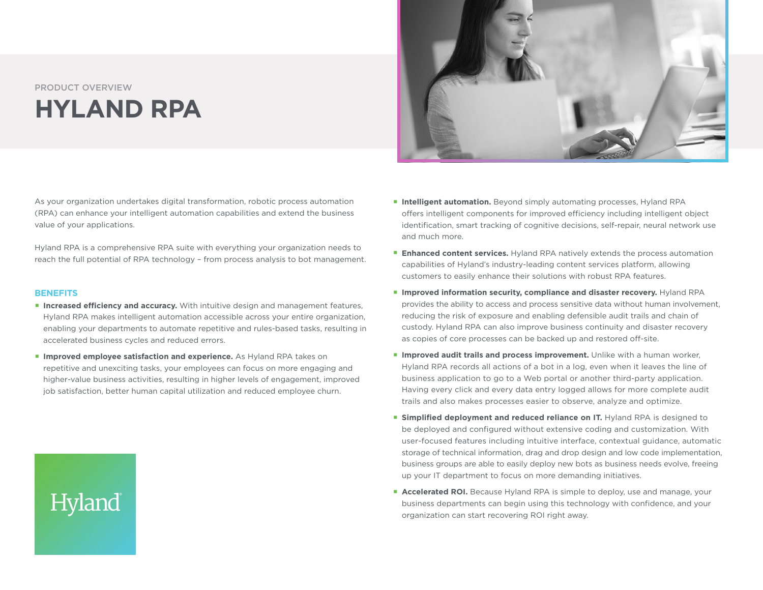## PRODUCT OVERVIEW **HYLAND RPA**

As your organization undertakes digital transformation, robotic process automation (RPA) can enhance your intelligent automation capabilities and extend the business value of your applications.

Hyland RPA is a comprehensive RPA suite with everything your organization needs to reach the full potential of RPA technology – from process analysis to bot management.

## **BENEFITS**

Hyland

- **Increased efficiency and accuracy.** With intuitive design and management features, Hyland RPA makes intelligent automation accessible across your entire organization, enabling your departments to automate repetitive and rules-based tasks, resulting in accelerated business cycles and reduced errors.
- **Improved employee satisfaction and experience.** As Hyland RPA takes on repetitive and unexciting tasks, your employees can focus on more engaging and higher-value business activities, resulting in higher levels of engagement, improved job satisfaction, better human capital utilization and reduced employee churn.



- **Intelligent automation.** Beyond simply automating processes, Hyland RPA offers intelligent components for improved efficiency including intelligent object identification, smart tracking of cognitive decisions, self-repair, neural network use and much more.
- **Enhanced content services.** Hyland RPA natively extends the process automation capabilities of Hyland's industry-leading content services platform, allowing customers to easily enhance their solutions with robust RPA features.
- **Improved information security, compliance and disaster recovery.** Hyland RPA provides the ability to access and process sensitive data without human involvement, reducing the risk of exposure and enabling defensible audit trails and chain of custody. Hyland RPA can also improve business continuity and disaster recovery as copies of core processes can be backed up and restored off-site.
- **Improved audit trails and process improvement.** Unlike with a human worker, Hyland RPA records all actions of a bot in a log, even when it leaves the line of business application to go to a Web portal or another third-party application. Having every click and every data entry logged allows for more complete audit trails and also makes processes easier to observe, analyze and optimize.
- **Simplified deployment and reduced reliance on IT.** Hyland RPA is designed to be deployed and configured without extensive coding and customization. With user-focused features including intuitive interface, contextual guidance, automatic storage of technical information, drag and drop design and low code implementation, business groups are able to easily deploy new bots as business needs evolve, freeing up your IT department to focus on more demanding initiatives.
- **Accelerated ROI.** Because Hyland RPA is simple to deploy, use and manage, your business departments can begin using this technology with confidence, and your organization can start recovering ROI right away.